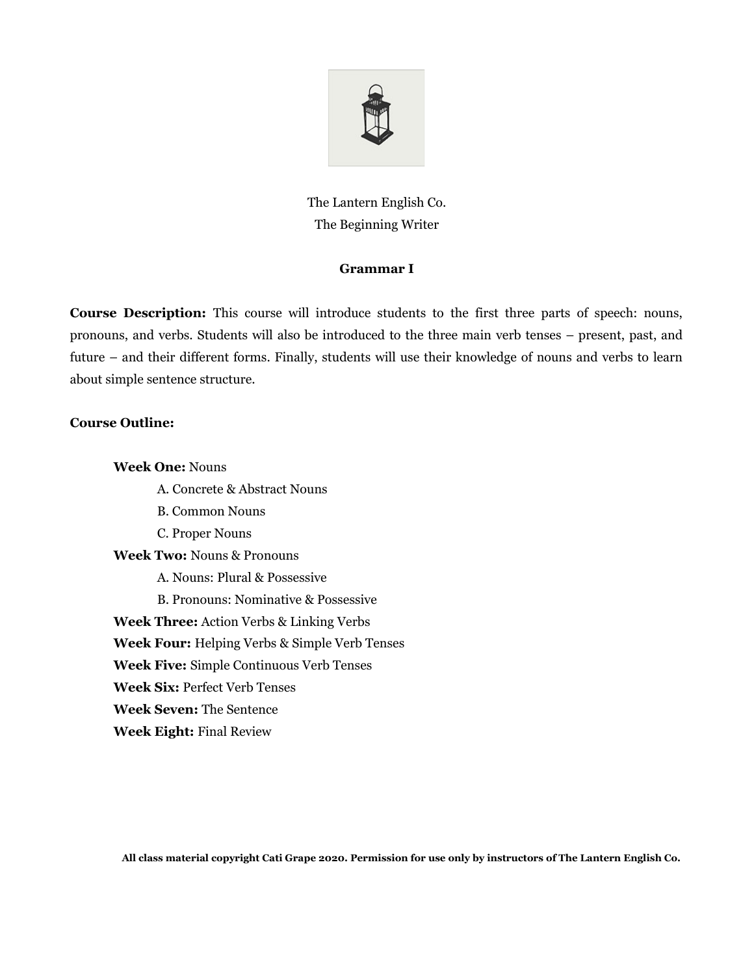

The Lantern English Co. The Beginning Writer

### **Grammar I**

**Course Description:** This course will introduce students to the first three parts of speech: nouns, pronouns, and verbs. Students will also be introduced to the three main verb tenses – present, past, and future – and their different forms. Finally, students will use their knowledge of nouns and verbs to learn about simple sentence structure.

## **Course Outline:**

**Week One:** Nouns A. Concrete & Abstract Nouns B. Common Nouns C. Proper Nouns **Week Two:** Nouns & Pronouns A. Nouns: Plural & Possessive B. Pronouns: Nominative & Possessive **Week Three:** Action Verbs & Linking Verbs **Week Four:** Helping Verbs & Simple Verb Tenses **Week Five:** Simple Continuous Verb Tenses **Week Six:** Perfect Verb Tenses **Week Seven:** The Sentence **Week Eight:** Final Review

**All class material copyright Cati Grape 2020. Permission for use only by instructors of The Lantern English Co.**